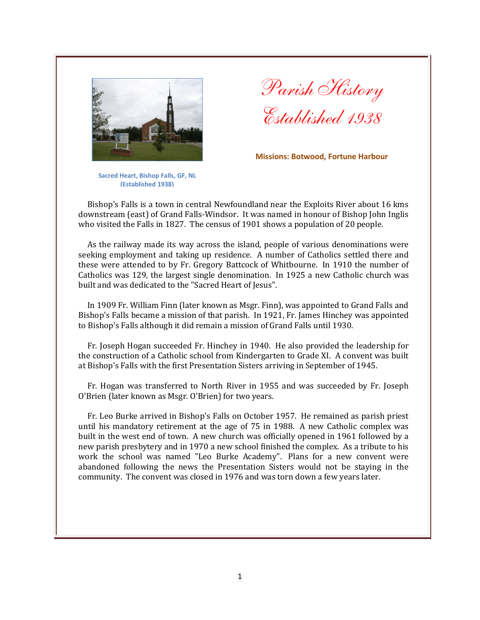

*Parish History Established 1938*

**Missions: Botwood, Fortune Harbour**

**Sacred Heart, Bishop Falls, GF, NL (Established 1938)**

Bishop's Falls is a town in central Newfoundland near the Exploits River about 16 kms downstream (east) of Grand Falls-Windsor. It was named in honour of Bishop John Inglis who visited the Falls in 1827. The census of 1901 shows a population of 20 people.

As the railway made its way across the island, people of various denominations were seeking employment and taking up residence. A number of Catholics settled there and these were attended to by Fr. Gregory Battcock of Whitbourne. In 1910 the number of Catholics was 129, the largest single denomination. In 1925 a new Catholic church was built and was dedicated to the "Sacred Heart of Jesus".

In 1909 Fr. William Finn (later known as Msgr. Finn), was appointed to Grand Falls and Bishop's Falls became a mission of that parish. In 1921, Fr. James Hinchey was appointed to Bishop's Falls although it did remain a mission of Grand Falls until 1930.

Fr. Joseph Hogan succeeded Fr. Hinchey in 1940. He also provided the leadership for the construction of a Catholic school from Kindergarten to Grade XI. A convent was built at Bishop's Falls with the first Presentation Sisters arriving in September of 1945.

Fr. Hogan was transferred to North River in 1955 and was succeeded by Fr. Joseph O'Brien (later known as Msgr. O'Brien) for two years.

Fr. Leo Burke arrived in Bishop's Falls on October 1957. He remained as parish priest until his mandatory retirement at the age of 75 in 1988. A new Catholic complex was built in the west end of town. A new church was officially opened in 1961 followed by a new parish presbytery and in 1970 a new school finished the complex. As a tribute to his work the school was named "Leo Burke Academy". Plans for a new convent were abandoned following the news the Presentation Sisters would not be staying in the community. The convent was closed in 1976 and was torn down a few years later.